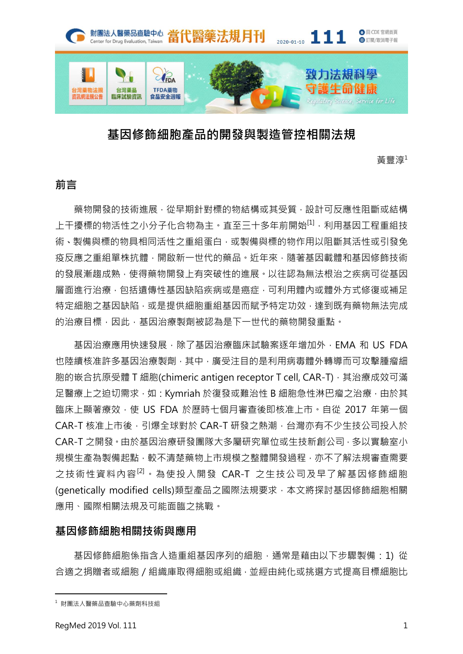

# 基因修飾細胞產品的開發與製造管控相關法規

黃豐淳<sup>1</sup>

# 前言

藥物開發的技術進展,從早期針對標的物結構或其受質,設計可反應性阻斷或結構 上于擾標的物活性之小分子化合物為主。直至三十多年前開始<sup>[1],</sup>利用基因工程重組技 術、製備與標的物具相同活性之重組蛋白,或製備與標的物作用以阻斷其活性或引發免 疫反應之重組單株抗體,開啟新一世代的藥品。近年來,隨著基因載體和基因修飾技術 的發展漸趨成熟,使得藥物開發上有突破性的進展。以往認為無法根治之疾病可從基因 層面進行治療,包括遺傳性基因缺陷疾病或是癌症,可利用體內或體外方式修復或補足 特定細胞之基因缺陷,或是提供細胞重組基因而賦予特定功效,達到既有藥物無法完成 的治療目標,因此,基因治療製劑被認為是下一世代的藥物開發重點。

基因治療應用快速發展,除了基因治療臨床試驗案逐年增加外,EMA 和 US FDA 也陸續核准許多基因治療製劑,其中,廣受注目的是利用病毒體外轉導而可攻擊腫瘤細 胞的嵌合抗原受體 T 細胞(chimeric antigen receptor T cell, CAR-T), 其治療成效可滿 足醫療上之迫切需求,如: Kymriah 於復發或難治性 B 細胞急性淋巴瘤之治療, 由於其 臨床上顯著療效, 使 US FDA 於歷時七個月審查後即核准上市, 自從 2017 年第一個 CAR-T 核准上市後,引爆全球對於 CAR-T 研發之熱潮,台灣亦有不少生技公司投入於 CAR-T 之開發。由於基因治療研發團隊大多屬研究單位或生技新創公司,多以實驗室小 規模生產為製備起點,較不清楚藥物上市規模之整體開發過程,亦不了解法規審查需要 之技術性資料內容<sup>[2]。</sup>為使投入開發 CAR-T 之生技公司及早了解基因修飾細胞 (genetically modified cells)類型產品之國際法規要求,本文將探討基因修飾細胞相關 應用、國際相關法規及可能面臨之挑戰。

## 基因修飾細胞相關技術與應用

基因修飾細胞係指含人造重組基因序列的細胞,通常是藉由以下步驟製備: 1) 從 合適之捐贈者或細胞/組織庫取得細胞或組織,並經由純化或挑選方式提高目標細胞比

 $\overline{a}$ 

<sup>1</sup> 財團法人醫藥品查驗中心藥劑科技組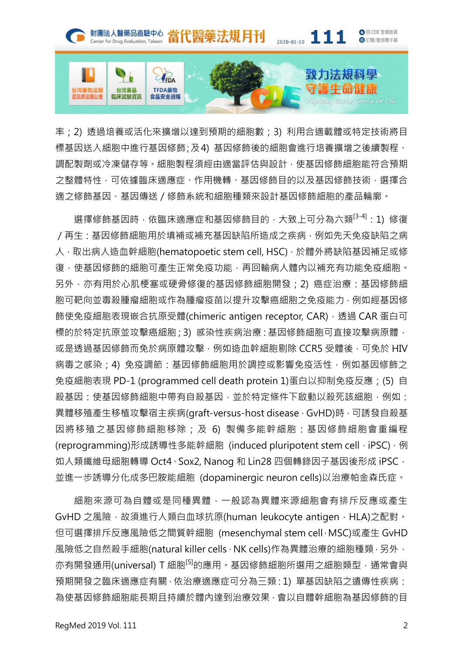

率;2) 透過培養或活化來擴增以達到預期的細胞數;3) 利用合適載體或特定技術將目 標基因送入細胞中進行基因修飾;及4) 基因修飾後的細胞會進行培養擴增之後續製程、 調配製劑或冷凍儲存等。細胞製程須經由適當評估與設計,使基因修飾細胞能符合預期 之整體特性,可依據臨床適應症、作用機轉、基因修飾目的以及基因修飾技術,選擇合 適之修飾基因、基因傳送/修飾系統和細胞種類來設計基因修飾細胞的產品輪廓。

選擇修飾基因時,依臨床適應症和基因修飾目的,大致上可分為六類<sup>[3-4]</sup>:1) 修復 /再生:基因修飾細胞用於填補或補充基因缺陷所造成之疾病,例如先天免疫缺陷之病 人, 取出病人造血幹細胞(hematopoetic stem cell, HSC), 於體外將缺陷基因補足或修 復,使基因修飾的細胞可產生正常免疫功能,再回輸病人體內以補充有功能免疫細胞。 另外,亦有用於心肌梗塞或硬骨修復的基因修飾細胞開發;2) 癌症治療:基因修飾細 胞可靶向並毒殺腫瘤細胞或作為腫瘤疫苗以提升攻擊癌細胞之免疫能力,例如經基因修 飾使免疫細胞表現嵌合抗原受體(chimeric antigen receptor, CAR), 透過 CAR 蛋白可 標的於特定抗原並攻擊癌細胞;3) 感染性疾病治療:基因修飾細胞可直接攻擊病原體, 或是透過基因修飾而免於病原體攻擊,例如造血幹細胞剔除 CCR5 受體後,可免於 HIV 病毒之感染;4) 免疫調節:基因修飾細胞用於調控或影響免疫活性,例如基因修飾之 免疫細胞表現 PD-1 (programmed cell death protein 1)蛋白以抑制免疫反應;(5) 自 殺基因:使基因修飾細胞中帶有自殺基因,並於特定條件下啟動以殺死該細胞,例如: 異體移殖產生移植攻擊宿主疾病(araft-versus-host disease, GvHD)時,可誘發自殺基 因將移殖之基因修飾細胞移除;及 6) 製備多能幹細胞:基因修飾細胞會重編程 (reprogramming)形成誘導性多能幹細胞 (induced pluripotent stem cell, iPSC), 例 如人類纖維母細胞轉導 Oct4、Sox2, Nanog 和 Lin28 四個轉錄因子基因後形成 iPSC, 並進一步誘導分化成多巴胺能細胞 (dopaminergic neuron cells)以治療帕金森氏症。

細胞來源可為自體或是同種異體,一般認為異體來源細胞會有排斥反應或產生 GvHD 之風險,故須進行人類白血球抗原(human leukocyte antigen, HLA)之配對。 但可選擇排斥反應風險低之間質幹細胞 (mesenchymal stem cell, MSC)或產生 GvHD 風險低之自然殺手細胞(natural killer cells, NK cells)作為異體治療的細胞種類,另外, 亦有開發通用(universal) T 細胞<sup>[5]</sup>的應用。基因修飾細胞所選用之細胞類型, 通常會與 預期開發之臨床適應症有關,依治療適應症可分為三類:1) 單基因缺陷之遺傳性疾病: 為使基因修飾細胞能長期且持續於體內達到治療效果,會以自體幹細胞為基因修飾的目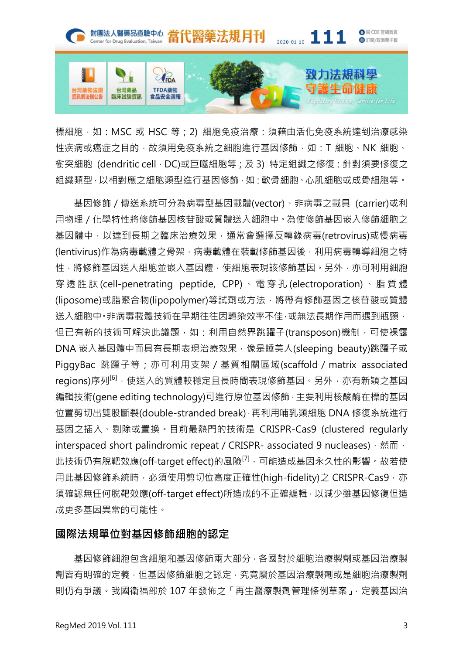

標細胞,如: MSC 或 HSC 等; 2) 細胞免疫治療: 須藉由活化免疫系統達到治療感染 性疾病或癌症之目的,故須用免疫系統之細胞進行基因修飾,如:T 細胞、NK 細胞、 樹突細胞 (dendritic cell, DC)或巨噬細胞等; 及 3) 特定組織之修復: 針對須要修復之 組織類型,以相對應之細胞類型進行基因修飾,如:軟骨細胞、心肌細胞或成骨細胞等。

基因修飾/傳送系統可分為病毒型基因載體(vector)、非病毒之載具 (carrier)或利 用物理/化學特性將修飾基因核苷酸或質體送入細胞中。為使修飾基因嵌入修飾細胞之 基因體中,以達到長期之臨床治療效果,通常會選擇反轉錄病毒(retrovirus)或慢病毒 (lentivirus)作為病毒載體之骨架,病毒載體在裝載修飾基因後,利用病毒轉導細胞之特 性,將修飾基因送入細胞並嵌入基因體,使細胞表現該修飾基因。另外,亦可利用細胞 穿透胜肽 (cell-penetrating peptide, CPP) 、電穿孔 (electroporation) 、脂質體 (liposome)或脂聚合物(lipopolymer)等試劑或方法,將帶有修飾基因之核苷酸或質體 送入細胞中。非病毒載體技術在早期往往因轉染效率不佳,或無法長期作用而遇到瓶頸, 但已有新的技術可解決此議題,如:利用自然界跳躍子(transposon)機制,可使裸露 DNA 嵌入基因體中而具有長期表現治療效果,像是睡美人(sleeping beauty)跳躍子或 PiggyBac 跳躍子等; 亦可利用支架 / 基質相關區域(scaffold / matrix associated regions)序列<sup>[6],</sup>使送入的質體較穩定且長時間表現修飾基因。另外,亦有新穎之基因 編輯技術(gene editing technology)可進行原位基因修飾,主要利用核酸酶在標的基因 位置剪切出雙股斷裂(double-stranded break),再利用哺乳類細胞 DNA 修復系統進行 基因之插入、剔除或置換。目前最熱門的技術是 CRISPR-Cas9 (clustered regularly interspaced short palindromic repeat / CRISPR- associated 9 nucleases), 然而, 此技術仍有脫靶效應(off-target effect)的風險<sup>[7],</sup>可能造成基因永久性的影響。故若使 用此基因修飾系統時,必須使用剪切位高度正確性(high-fidelity)之 CRISPR-Cas9, 亦 須確認無任何脫靶效應(off-target effect)所造成的不正確編輯,以減少雖基因修復但造 成更多基因異常的可能性。

## 國際法規單位對基因修飾細胞的認定

基因修飾細胞包含細胞和基因修飾兩大部分,各國對於細胞治療製劑或基因治療製 劑皆有明確的定義,但基因修飾細胞之認定,究竟屬於基因治療製劑或是細胞治療製劑 則仍有爭議。我國衛福部於 107 年發佈之「再生醫療製劑管理條例草案」, 定義基因治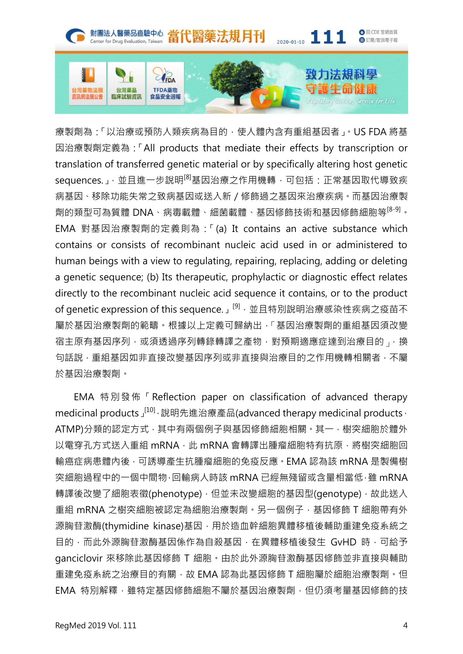

療製劑為:「以治療或預防人類疾病為目的,使人體內含有重組基因者」。US FDA 將基 因治療製劑定義為:「All products that mediate their effects by transcription or translation of transferred genetic material or by specifically altering host genetic sequences.」,並且進一步說明<sup>[8]</sup>基因治療之作用機轉,可包括:正常基因取代導致疾 病基因、移除功能失常之致病基因或送入新/修飾過之基因來治療疾病。而基因治療製 劑的類型可為質體 DNA、病毒載體、細菌載體、基因修飾技術和基因修飾細胞等[8-9]。 EMA 對基因治療製劑的定義則為:「(a) It contains an active substance which contains or consists of recombinant nucleic acid used in or administered to human beings with a view to regulating, repairing, replacing, adding or deleting a genetic sequence; (b) Its therapeutic, prophylactic or diagnostic effect relates directly to the recombinant nucleic acid sequence it contains, or to the product of genetic expression of this sequence.」<sup>[9],</sup>並且特別說明治療感染性疾病之疫苗不 屬於基因治療製劑的範疇。根據以上定義可歸納出,「基因治療製劑的重組基因須改變 宿主原有基因序列,或須透過序列轉錄轉譯之產物,對預期適應症達到治療目的一換 句話說,重組基因如非直接改變基因序列或非直接與治療目的之作用機轉相關者,不屬 於基因治療製劑。

EMA 特別發佈「Reflection paper on classification of advanced therapy medicinal products  $J^{[10]}$ , 說明先進治療產品(advanced therapy medicinal products, ATMP)分類的認定方式,其中有兩個例子與基因修飾細胞相關。其一,樹突細胞於體外 以電穿孔方式送入重組 mRNA, 此 mRNA 會轉譯出腫瘤細胞特有抗原, 將樹突細胞回 輸癌症病患體內後,可誘導產生抗腫瘤細胞的免疫反應。EMA 認為該 mRNA 是製備樹 突細胞過程中的一個中間物,回輸病人時該 mRNA 已經無殘留或含量相當低,雖 mRNA 轉譯後改變了細胞表徵(phenotype),但並未改變細胞的基因型(genotype),故此送入 重組 mRNA 之樹突細胞被認定為細胞治療製劑。另一個例子,基因修飾 T 細胞帶有外 源胸苷激酶(thymidine kinase)基因,用於造血幹細胞異體移植後輔助重建免疫系統之 目的,而此外源胸苷激酶基因係作為自殺基因,在異體移植後發生 GvHD 時,可給予 ganciclovir 來移除此基因修飾 T 細胞。由於此外源胸苷激酶基因修飾並非直接與輔助 重建免疫系統之治療目的有關,故 EMA 認為此基因修飾 T 細胞屬於細胞治療製劑。但 EMA 特別解釋,雖特定基因修飾細胞不屬於基因治療製劑,但仍須考量基因修飾的技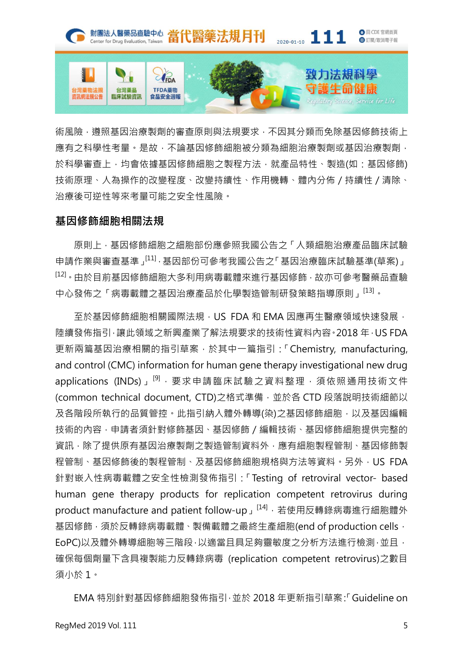

術風險,遵照基因治療製劑的審查原則與法規要求,不因其分類而免除基因修飾技術上 應有之科學性考量。是故,不論基因修飾細胞被分類為細胞治療製劑或基因治療製劑, 於科學審查上,均會依據基因修飾細胞之製程方法,就產品特性、製造(如:基因修飾) 技術原理、人為操作的改變程度、改變持續性、作用機轉、體內分佈/持續性/清除、 治療後可逆性等來考量可能之安全性風險。

## 基因修飾細胞相關法規

原則上,基因修飾細胞之細胞部份應參照我國公告之「人類細胞治療產品臨床試驗 申請作業與審查基準」[11],基因部份可參考我國公告之「基因治療臨床試驗基準(草案)」 [12]。由於目前基因修飾細胞大多利用病毒載體來進行基因修飾,故亦可參考醫藥品查驗 中心發佈之「病毒載體之基因治療產品於化學製造管制研發策略指導原則」[13]。

至於基因修飾細胞相關國際法規,US FDA 和 EMA 因應再生醫療領域快速發展, 陸續發佈指引,讓此領域之新興產業了解法規要求的技術性資料內容。2018 年,US FDA 更新兩篇基因治療相關的指引草案,於其中一篇指引:「Chemistry, manufacturing, and control (CMC) information for human gene therapy investigational new drug applications (INDs)」<sup>[9],</sup>要求申請臨床試驗之資料整理,須依照通用技術文件 (common technical document, CTD)之格式準備,並於各 CTD 段落說明技術細節以 及各階段所執行的品質管控。此指引納入體外轉導(染)之基因修飾細胞,以及基因編輯 技術的內容,申請者須針對修飾基因、基因修飾/編輯技術、基因修飾細胞提供完整的 資訊,除了提供原有基因治療製劑之製造管制資料外,應有細胞製程管制、基因修飾製 程管制、基因修飾後的製程管制、及基因修飾細胞規格與方法等資料。另外, US FDA 針對嵌入性病毒載體之安全性檢測發佈指引:「Testing of retroviral vector- based human gene therapy products for replication competent retrovirus during product manufacture and patient follow-up」<sup>[14],</sup>若使用反轉錄病毒進行細胞體外 基因修飾,須於反轉錄病毒載體、製備載體之最終生產細胞(end of production cells, EoPC)以及體外轉導細胞等三階段,以適當且具足夠靈敏度之分析方法進行檢測,並且, 確保每個劑量下含具複製能力反轉錄病毒 (replication competent retrovirus)之數目 須小於 1。

EMA 特別針對基因修飾細胞發佈指引,並於 2018 年更新指引草案:「Guideline on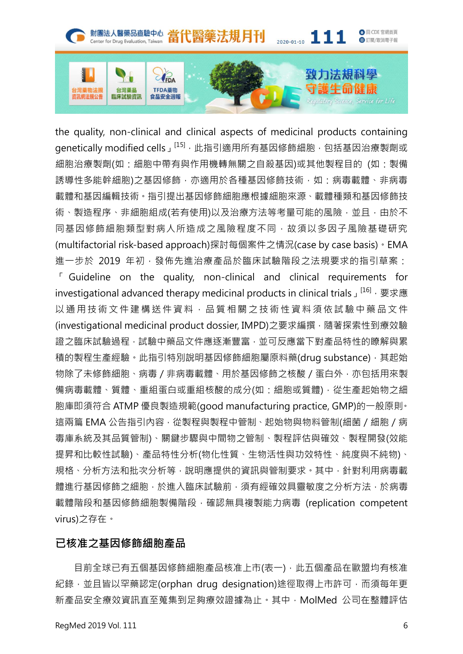

the quality, non-clinical and clinical aspects of medicinal products containing genetically modified cells」<sup>[15],</sup>此指引適用所有基因修飾細胞,包括基因治療製劑或 細胞治療製劑(如:細胞中帶有與作用機轉無關之自殺基因)或其他製程目的 (如:製備 誘導性多能幹細胞)之基因修飾,亦適用於各種基因修飾技術,如:病毒載體、非病毒 載體和基因編輯技術。指引提出基因修飾細胞應根據細胞來源、載體種類和基因修飾技 術、製造程序、非細胞組成(若有使用)以及治療方法等考量可能的風險,並且,由於不 同基因修飾細胞類型對病人所造成之風險程度不同,故須以多因子風險基礎研究 (multifactorial risk-based approach)探討每個案件之情況(case by case basis)。EMA 進一步於 2019 年初,發佈先進治療產品於臨床試驗階段之法規要求的指引草案:

「 Guideline on the quality, non-clinical and clinical requirements for investigational advanced therapy medicinal products in clinical trials」<sup>[16]</sup>, 要求應 以通用技術文件建橫送件資料,品質相關之技術性資料須依試驗中藥品文件 (investigational medicinal product dossier, IMPD)之要求編撰,隨著探索性到療效驗 證之臨床試驗過程,試驗中藥品文件應逐漸豐富,並可反應當下對產品特性的瞭解與累 積的製程生產經驗。此指引特別說明基因修飾細胞屬原料藥(drug substance), 其起始 物除了未修飾細胞、病毒 / 非病毒載體、用於基因修飾之核酸 / 蛋白外, 亦包括用來製 備病毒載體、質體、重組蛋白或重組核酸的成分(如:細胞或質體),從生產起始物之細 胞庫即須符合 ATMP 優良製造規範(good manufacturing practice, GMP)的一般原則。 這兩篇 EMA 公告指引內容,從製程與製程中管制、起始物與物料管制(細菌 / 細胞 / 病 毒庫系統及其品質管制)、關鍵步驟與中間物之管制、製程評估與確效、製程開發(效能 提昇和比較性試驗)、產品特性分析(物化性質、生物活性與功效特性、純度與不純物)、 規格、分析方法和批次分析等,說明應提供的資訊與管制要求。其中,針對利用病毒載 體進行基因修飾之細胞,於進入臨床試驗前,須有經確效具靈敏度之分析方法,於病毒 載體階段和基因修飾細胞製備階段,確認無具複製能力病毒 (replication competent virus)之存在。

## 已核准之基因修飾細胞產品

目前全球已有五個基因修飾細胞產品核准上市(表一),此五個產品在歐盟均有核准 紀錄,並且皆以罕藥認定(orphan drug designation)途徑取得上市許可,而須每年更 新產品安全療效資訊直至蒐集到足夠療效證據為止。其中,MolMed 公司在整體評估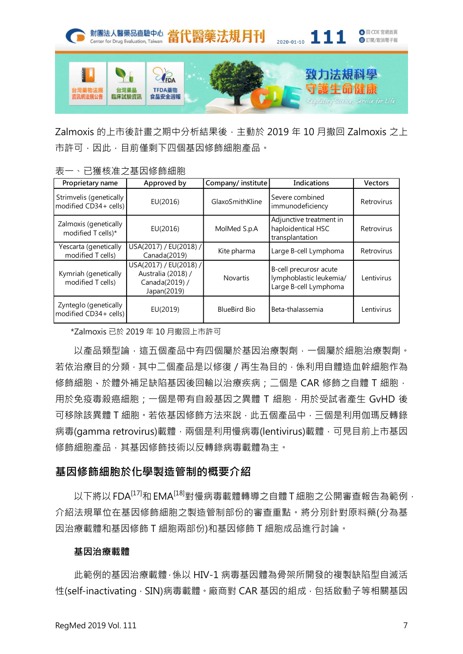

Zalmoxis 的上市後計畫之期中分析結果後,主動於 2019年10月撤回 Zalmoxis 之上 市許可,因此,目前僅剩下四個基因修飾細胞產品。

| ั∟∿<br>□这  久  仁 之 壬 〓   ッ ホiァ ハ  曲 ハし            |                                                                               |                    |                                                                            |                |
|--------------------------------------------------|-------------------------------------------------------------------------------|--------------------|----------------------------------------------------------------------------|----------------|
| Proprietary name                                 | Approved by                                                                   | Company/ institute | Indications                                                                | <b>Vectors</b> |
| Strimvelis (genetically<br>modified CD34+ cells) | EU(2016)                                                                      | GlaxoSmithKline    | Severe combined<br>immunodeficiency                                        | Retrovirus     |
| Zalmoxis (genetically<br>modified T cells)*      | EU(2016)                                                                      | MolMed S.p.A       | Adjunctive treatment in<br>haploidentical HSC<br>transplantation           | Retrovirus     |
| Yescarta (genetically<br>modified T cells)       | USA(2017) / EU(2018) /<br>Canada(2019)                                        | Kite pharma        | Large B-cell Lymphoma                                                      | Retrovirus     |
| Kymriah (genetically<br>modified T cells)        | USA(2017) / EU(2018) /<br>Australia (2018) /<br>Canada(2019) /<br>Japan(2019) | <b>Novartis</b>    | B-cell precurosr acute<br>lymphoblastic leukemia/<br>Large B-cell Lymphoma | Lentivirus     |
| Zynteglo (genetically<br>modified CD34+ cells)   | EU(2019)                                                                      | BlueBird Bio       | Beta-thalassemia                                                           | Lentivirus     |

表一、已獲核准之基因修飾細胞

\*Zalmoxis 已於 2019 年 10 月撤回上市許可

以產品類型論,這五個產品中有四個屬於基因治療製劑,一個屬於細胞治療製劑。 若依治療目的分類,其中二個產品是以修復/再生為目的,係利用自體造血幹細胞作為 修飾細胞、於體外補足缺陷基因後回輸以治療疾病;二個是 CAR 修飾之自體 T 細胞, 用於免疫毒殺癌細胞;一個是帶有自殺基因之異體 T 細胞,用於受試者產生 GvHD 後 可移除該異體 T 細胞。若依基因修飾方法來說,此五個產品中,三個是利用伽瑪反轉錄 病毒(gamma retrovirus)載體,兩個是利用慢病毒(lentivirus)載體,可見目前上市基因 修飾細胞產品,其基因修飾技術以反轉錄病毒載體為主。

# 基因修飾細胞於化學製造管制的概要介紹

以下將以 FDA<sup>[17]</sup>和 EMA<sup>[18]</sup>對慢病毒載體轉導之自體 T 細胞之公開審查報告為範例, 介紹法規單位在基因修飾細胞之製造管制部份的審查重點。將分別針對原料藥(分為基 因治療載體和基因修飾 T 細胞兩部份)和基因修飾 T 細胞成品進行討論。

#### 基因治療載體

此範例的基因治療載體,係以 HIV-1 病毒基因體為骨架所開發的複製缺陷型自滅活 性(self-inactivating, SIN)病毒載體。廠商對 CAR 基因的組成, 包括啟動子等相關基因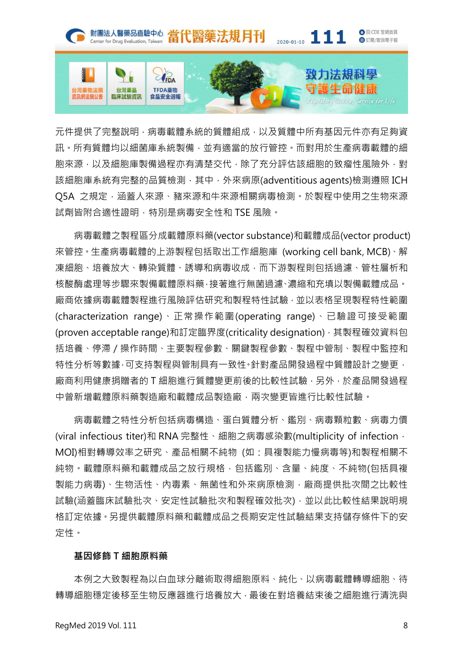

元件提供了完整說明,病毒載體系統的質體組成,以及質體中所有基因元件亦有足夠資 訊。所有質體均以細菌庫系統製備,並有適當的放行管控。而對用於生產病毒載體的細 胞來源,以及細胞庫製備過程亦有清楚交代,除了充分評估該細胞的致瘤性風險外,對 該細胞庫系統有完整的品質檢測,其中,外來病原(adventitious agents)檢測遵照 ICH Q5A 之規定,涵蓋人來源、豬來源和牛來源相關病毒檢測。於製程中使用之生物來源 試劑皆附合適性證明,特別是病毒安全性和 TSE 風險。

病毒載體之製程區分成載體原料藥(vector substance)和載體成品(vector product) 來管控。生產病毒載體的上游製程包括取出工作細胞庫 (working cell bank, MCB)、解 凍細胞、培養放大、轉染質體、誘導和病毒收成,而下游製程則包括過濾、管柱層析和 核酸酶處理等步驟來製備載體原料藥,接著進行無菌過濾、濃縮和充填以製備載體成品。 廠商依據病毒載體製程進行風險評估研究和製程特性試驗,並以表格呈現製程特性範圍 (characterization range)、正常操作範圍(operating range)、已驗證可接受範圍 (proven acceptable range)和訂定臨界度(criticality designation), 其製程確效資料包 括培養、停滯 / 操作時間、主要製程參數、關鍵製程參數、製程中管制、製程中監控和 特性分析等數據,可支持製程與管制具有一致性。針對產品開發過程中質體設計之變更, 廠商利用健康捐贈者的 T 細胞進行質體變更前後的比較性試驗,另外,於產品開發過程 中曾新增載體原料藥製造廠和載體成品製造廠,兩次變更皆進行比較性試驗。

病毒載體之特性分析包括病毒構造、蛋白質體分析、鑑別、病毒顆粒數、病毒力價 (viral infectious titer)和 RNA 完整性、細胞之病毒感染數(multiplicity of infection, MOI)相對轉導效率之研究、產品相關不純物 (如:具複製能力慢病毒等)和製程相關不 純物。載體原料藥和載體成品之放行規格,包括鑑別、含量、純度、不純物(包括具複 製能力病毒)、生物活性、內毒素、無菌性和外來病原檢測,廠商提供批次間之比較性 試驗(涵蓋臨床試驗批次、安定性試驗批次和製程確效批次),並以此比較性結果說明規 格訂定依據。另提供載體原料藥和載體成品之長期安定性試驗結果支持儲存條件下的安 定性。

#### 基因修飾 T 細胞原料藥

本例之大致製程為以白血球分離術取得細胞原料、純化、以病毒載體轉導細胞、待 轉導細胞穩定後移至生物反應器進行培養放大,最後在對培養結束後之細胞進行清洗與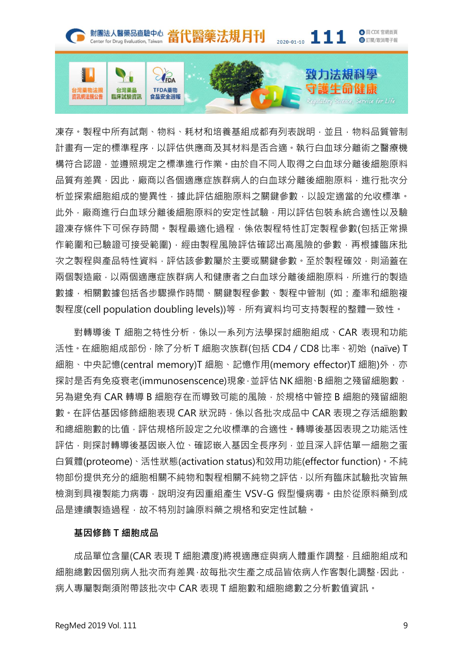

凍存。製程中所有試劑、物料、耗材和培養基組成都有列表說明,並且,物料品質管制 計畫有一定的標準程序,以評估供應商及其材料是否合適。執行白血球分離術之醫療機 構符合認證,並遵照規定之標準進行作業。由於自不同人取得之白血球分離後細胞原料 品質有差異,因此,廠商以各個適應症族群病人的白血球分離後細胞原料,進行批次分 析並探索細胞組成的變異性,據此評估細胞原料之關鍵參數,以設定適當的允收標準。 此外,廠商進行白血球分離後細胞原料的安定性試驗,用以評估包裝系統合適性以及驗 證凍存條件下可保存時間。製程最適化過程,係依製程特性訂定製程參數(包括正常操 作範圍和已驗證可接受範圍),經由製程風險評估確認出高風險的參數,再根據臨床批 次之製程與產品特性資料,評估該參數屬於主要或關鍵參數。至於製程確效,則涵蓋在 兩個製造廠,以兩個適應症族群病人和健康者之白血球分離後細胞原料,所進行的製造 數據,相關數據包括各步驟操作時間、關鍵製程參數、製程中管制 (如:產率和細胞複 製程度(cell population doubling levels))等,所有資料均可支持製程的整體一致性。

對轉導後 T 細胞之特性分析,係以一系列方法學探討細胞組成、CAR 表現和功能 活性。在細胞組成部份,除了分析 T 細胞次族群(包括 CD4/CD8 比率、初始 (naïve) T 細胞、中央記憶(central memory)T 細胞、記憶作用(memory effector)T 細胞)外, 亦 探討是否有免疫衰老(immunosenscence)現象,並評估NK細胞、B細胞之殘留細胞數, 另為避免有 CAR 轉導 B 細胞存在而導致可能的風險, 於規格中管控 B 細胞的殘留細胞 數。在評估基因修飾細胞表現 CAR 狀況時,係以各批次成品中 CAR 表現之存活細胞數 和總細胞數的比值,評估規格所設定之允收標準的合適性。轉導後基因表現之功能活性 評估,則探討轉導後基因嵌入位、確認嵌入基因全長序列,並且深入評估單一細胞之蛋 白質體(proteome)、活性狀態(activation status)和效用功能(effector function)。不純 物部份提供充分的細胞相關不純物和製程相關不純物之評估,以所有臨床試驗批次皆無 檢測到具複製能力病毒,說明沒有因重組產生 VSV-G 假型慢病毒。由於從原料藥到成 品是連續製造過程,故不特別討論原料藥之規格和安定性試驗。

#### 基因修飾 T 細胞成品

成品單位含量(CAR 表現 T 細胞濃度)將視適應症與病人體重作調整,且細胞組成和 細胞總數因個別病人批次而有差異,故每批次生產之成品皆依病人作客製化調整,因此, 病人專屬製劑須附帶該批次中 CAR 表現 T 細胞數和細胞總數之分析數值資訊。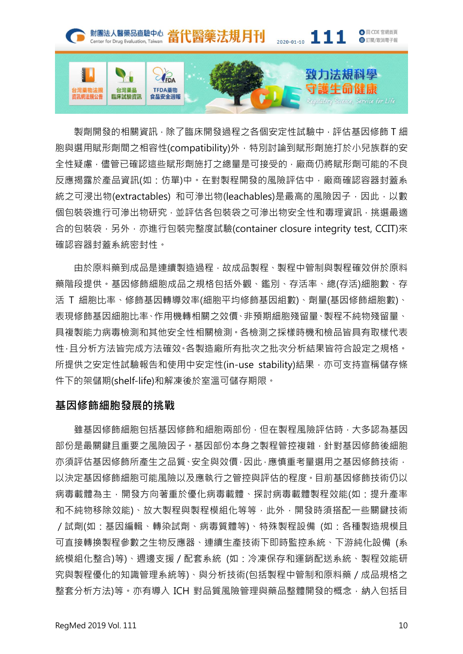

製劑開發的相關資訊,除了臨床開發過程之各個安定性試驗中,評估基因修飾 T 細 胞與選用賦形劑間之相容性(compatibility)外, 特別討論到賦形劑施打於小兒族群的安 全性疑慮,儘管已確認這些賦形劑施打之總量是可接受的,廠商仍將賦形劑可能的不良 反應揭露於產品資訊(如:仿單)中。在對製程開發的風險評估中,廠商確認容器封蓋系 統之可浸出物(extractables) 和可滲出物(leachables)是最高的風險因子, 因此, 以數 個包裝袋進行可滲出物研究,並評估各包裝袋之可滲出物安全性和毒理資訊,挑選最適 合的包裝袋,另外,亦進行包裝完整度試驗(container closure integrity test, CCIT)來 確認容器封蓋系統密封性。

由於原料藥到成品是連續製造過程,故成品製程、製程中管制與製程確效併於原料 藥階段提供。基因修飾細胞成品之規格包括外觀、鑑別、存活率、總(存活)細胞數、存 活 T 細胞比率、修飾基因轉導效率(細胞平均修飾基因組數)、劑量(基因修飾細胞數)、 表現修飾基因細胞比率、作用機轉相關之效價、非預期細胞殘留量、製程不純物殘留量、 具複製能力病毒檢測和其他安全性相關檢測。各檢測之採樣時機和檢品皆具有取樣代表 性,且分析方法皆完成方法確效。各製造廠所有批次之批次分析結果皆符合設定之規格。 所提供之安定性試驗報告和使用中安定性(in-use stability)結果,亦可支持宣稱儲存條 件下的架儲期(shelf-life)和解凍後於室溫可儲存期限。

# 基因修飾細胞發展的挑戰

雖基因修飾細胞修飾和細胞兩部份,但在製程風險評估時,大多認為基因 部份是最關鍵且重要之風險因子。基因部份本身之製程管控複雜,針對基因修飾後細胞 亦須評估基因修飾所產生之品質、安全與效價,因此,應慎重考量選用之基因修飾技術, 以決定基因修飾細胞可能風險以及應執行之管控與評估的程度。目前基因修飾技術仍以 病毒載體為主,開發方向著重於優化病毒載體、探討病毒載體製程效能(如:提升產率 和不純物移除效能)、放大製程與製程模組化等等,此外,開發時須搭配一些關鍵技術 /試劑(如:基因編輯、轉染試劑、病毒質體等)、特殊製程設備 (如:各種製造規模且 可直接轉換製程參數之生物反應器、連續生產技術下即時監控系統、下游純化設備 (系 統模組化整合)等)、週邊支援/配套系統 (如:冷凍保存和運銷配送系統、製程效能研 究與製程優化的知識管理系統等)、與分析技術(包括製程中管制和原料藥/成品規格之 整套分析方法)等。亦有導入 ICH 對品質風險管理與藥品整體開發的概念,納入包括目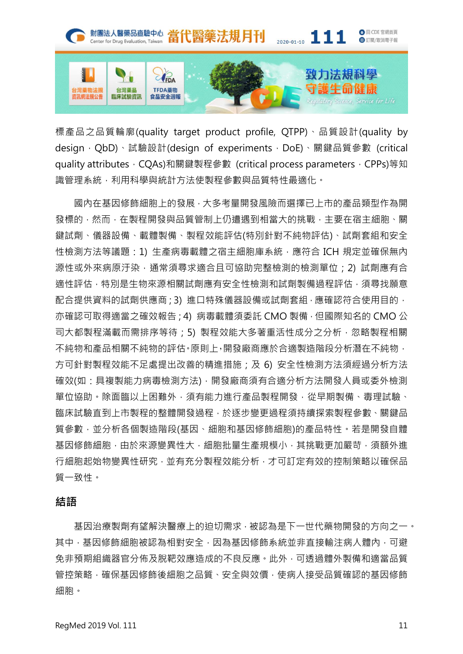

標產品之品質輪廓(quality target product profile, QTPP)、品質設計(quality by design, QbD)、試驗設計(design of experiments, DoE)、關鍵品質參數 (critical quality attributes, CQAs)和關鍵製程參數 (critical process parameters, CPPs)等知 識管理系統,利用科學與統計方法使製程參數與品質特性最適化。

國內在基因修飾細胞上的發展,大多考量開發風險而選擇已上市的產品類型作為開 發標的,然而,在製程開發與品質管制上仍遭遇到相當大的挑戰,主要在宿主細胞、關 鍵試劑、儀器設備、載體製備、製程效能評估(特別針對不純物評估)、試劑套組和安全 性檢測方法等議題: 1) 生產病毒載體之宿主細胞庫系統,應符合 ICH 規定並確保無內 源性或外來病原汙染,通常須尋求適合且可協助完整檢測的檢測單位;2)試劑應有合 適性評估,特別是生物來源相關試劑應有安全性檢測和試劑製備過程評估,須尋找願意 配合提供資料的試劑供應商;3) 進口特殊儀器設備或試劑套組,應確認符合使用目的, 亦確認可取得適當之確效報告;4) 病毒載體須委託 CMO 製備,但國際知名的 CMO 公 司大都製程滿載而需排序等待;5) 製程效能大多著重活性成分之分析,忽略製程相關 不純物和產品相關不純物的評估。原則上,開發廠商應於合適製造階段分析潛在不純物, 方可針對製程效能不足處提出改善的精進措施;及 6) 安全性檢測方法須經過分析方法 確效(如:具複製能力病毒檢測方法),開發廠商須有合適分析方法開發人員或委外檢測 單位協助。除面臨以上困難外﹐須有能力進行產品製程開發﹐從早期製備、毒理試驗、 臨床試驗直到上市製程的整體開發過程,於逐步變更過程須持續探索製程參數、關鍵品 質參數,並分析各個製造階段(基因、細胞和基因修飾細胞)的產品特性。若是開發自體 基因修飾細胞,由於來源變異性大,細胞批量生產規模小,其挑戰更加嚴苛,須額外進 行細胞起始物變異性研究,並有充分製程效能分析,才可訂定有效的控制策略以確保品 質一致性。

## 結語

基因治療製劑有望解決醫療上的迫切需求,被認為是下一世代藥物開發的方向之一。 其中,基因修飾細胞被認為相對安全,因為基因修飾系統並非直接輸注病人體內,可避 免非預期組織器官分佈及脫靶效應造成的不良反應。此外,可透過體外製備和適當品質 管控策略,確保基因修飾後細胞之品質、安全與效價,使病人接受品質確認的基因修飾 細胞。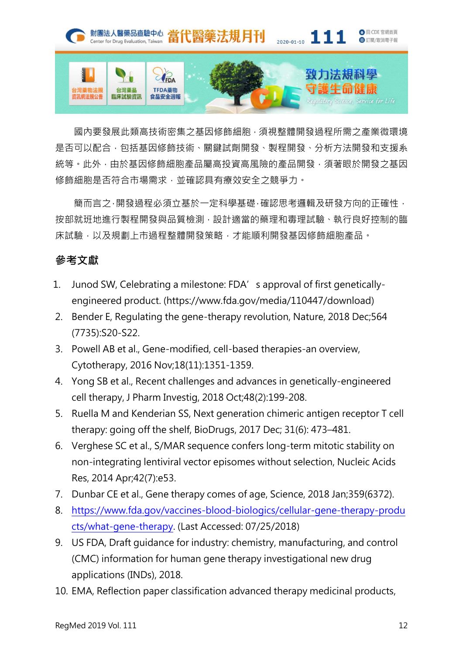

國內要發展此類高技術密集之基因修飾細胞,須視整體開發過程所需之產業微環境 是否可以配合,包括基因修飾技術、關鍵試劑開發、製程開發、分析方法開發和支援系 統等。此外,由於基因修飾細胞產品屬高投資高風險的產品開發,須著眼於開發之基因 修飾細胞是否符合市場需求,並確認具有療效安全之競爭力。

簡而言之,開發過程必須立基於一定科學基礎,確認思考邏輯及研發方向的正確性, 按部就班地進行製程開發與品質檢測,設計適當的藥理和毒理試驗、執行良好控制的臨 床試驗,以及規劃上市過程整體開發策略,才能順利開發基因修飾細胞產品。

# 參考文獻

- 1. Junod SW, Celebrating a milestone: FDA's approval of first geneticallyengineered product. (https://www.fda.gov/media/110447/download)
- 2. Bender E, Regulating the gene-therapy revolution, Nature, 2018 Dec;564 (7735):S20-S22.
- 3. Powell AB et al., Gene-modified, cell-based therapies-an overview, Cytotherapy, 2016 Nov;18(11):1351-1359.
- 4. Yong SB et al., Recent challenges and advances in genetically-engineered cell therapy, J Pharm Investig, 2018 Oct;48(2):199-208.
- 5. Ruella M and Kenderian SS, Next generation chimeric antigen receptor T cell therapy: going off the shelf, BioDrugs, 2017 Dec; 31(6): 473–481.
- 6. Verghese SC et al., S/MAR sequence confers long-term mitotic stability on non-integrating lentiviral vector episomes without selection, Nucleic Acids Res, 2014 Apr;42(7):e53.
- 7. Dunbar CE et al., Gene therapy comes of age, Science, 2018 Jan;359(6372).
- 8. [https://www.fda.gov/vaccines-blood-biologics/cellular-gene-therapy-produ](https://www.fda.gov/vaccines-blood-biologics/cellular-gene-therapy-products/what-gene-therapy) [cts/what-gene-therapy](https://www.fda.gov/vaccines-blood-biologics/cellular-gene-therapy-products/what-gene-therapy). (Last Accessed: 07/25/2018)
- 9. US FDA, Draft guidance for industry: chemistry, manufacturing, and control (CMC) information for human gene therapy investigational new drug applications (INDs), 2018.
- 10. EMA, Reflection paper classification advanced therapy medicinal products,